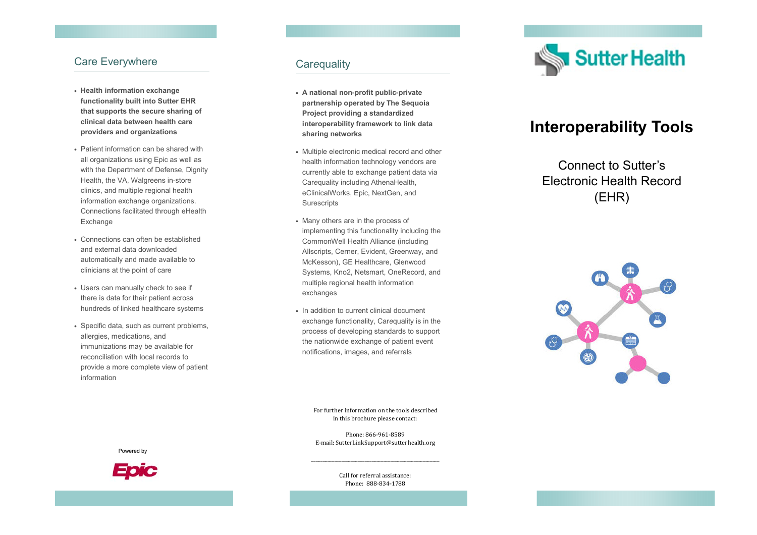#### Care Everywhere

- **Health information exchange functionality built into Sutter EHR that supports the secure sharing of clinical data between health care providers and organizations**
- Patient information can be shared with all organizations using Epic as well as with the Department of Defense, Dignity Health, the VA, Walgreens in-store clinics, and multiple regional health information exchange organizations. Connections facilitated through eHealth Exchange
- Connections can often be established and external data downloaded automatically and made available to clinicians at the point of care
- Users can manually check to see if there is data for their patient across hundreds of linked healthcare systems
- Specific data, such as current problems, allergies, medications, and immunizations may be available for reconciliation with local records to provide a more complete view of patient information

#### Car *e* quality

- **A national non-profit public-private partnership operated by The Sequoia Project providing a standardized interoperability framework to link data sharing networks**
- Multiple electronic medical record and other health information technology vendors are currently able to exchange patient data via Car*e*quality including AthenaHealth, eClinicalWorks, Epic, NextGen, and **Surescripts**
- Many others are in the process of implementing this functionality including the CommonWell Health Alliance (including Allscripts, Cerner, Evident, Greenway, and McKesson), GE Healthcare, Glenwood Systems, Kno2, Netsmart, OneRecord, and multiple regional health information exchanges
- In addition to current clinical document exchange functionality, Car*e*quality is in the process of developing standards to support the nationwide exchange of patient event notifications, images, and referrals



# **Interoperability Tools**

Connect to Sutter's Electronic Health Record (EHR)



For further information on the tools described in this brochure please contact:

Phone: 866-961-8589E-mail: SutterLinkSupport@sutterhealth.org





Call for referral assistance: Phone: 888-834-1788